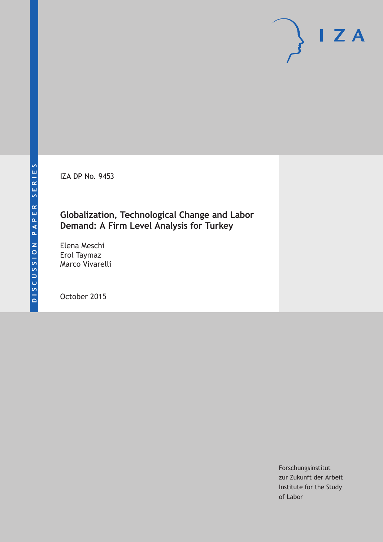IZA DP No. 9453

# **Globalization, Technological Change and Labor Demand: A Firm Level Analysis for Turkey**

Elena Meschi Erol Taymaz Marco Vivarelli

October 2015

Forschungsinstitut zur Zukunft der Arbeit Institute for the Study of Labor

 $I Z A$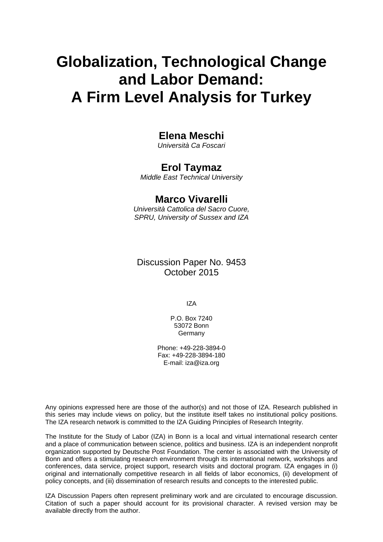# **Globalization, Technological Change and Labor Demand: A Firm Level Analysis for Turkey**

## **Elena Meschi**

*Università Ca Foscari* 

## **Erol Taymaz**

*Middle East Technical University* 

## **Marco Vivarelli**

*Università Cattolica del Sacro Cuore, SPRU, University of Sussex and IZA*

Discussion Paper No. 9453 October 2015

IZA

P.O. Box 7240 53072 Bonn **Germany** 

Phone: +49-228-3894-0 Fax: +49-228-3894-180 E-mail: iza@iza.org

Any opinions expressed here are those of the author(s) and not those of IZA. Research published in this series may include views on policy, but the institute itself takes no institutional policy positions. The IZA research network is committed to the IZA Guiding Principles of Research Integrity.

The Institute for the Study of Labor (IZA) in Bonn is a local and virtual international research center and a place of communication between science, politics and business. IZA is an independent nonprofit organization supported by Deutsche Post Foundation. The center is associated with the University of Bonn and offers a stimulating research environment through its international network, workshops and conferences, data service, project support, research visits and doctoral program. IZA engages in (i) original and internationally competitive research in all fields of labor economics, (ii) development of policy concepts, and (iii) dissemination of research results and concepts to the interested public.

IZA Discussion Papers often represent preliminary work and are circulated to encourage discussion. Citation of such a paper should account for its provisional character. A revised version may be available directly from the author.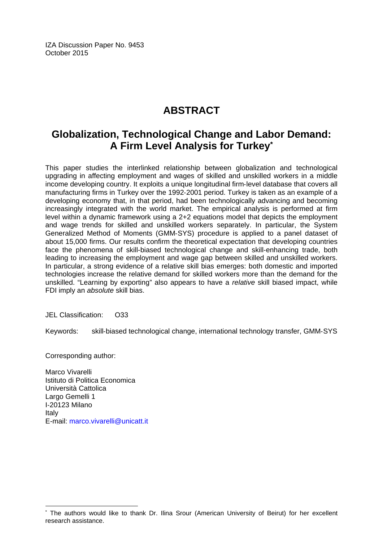IZA Discussion Paper No. 9453 October 2015

# **ABSTRACT**

# **Globalization, Technological Change and Labor Demand: A Firm Level Analysis for Turkey\***

This paper studies the interlinked relationship between globalization and technological upgrading in affecting employment and wages of skilled and unskilled workers in a middle income developing country. It exploits a unique longitudinal firm‐level database that covers all manufacturing firms in Turkey over the 1992‐2001 period. Turkey is taken as an example of a developing economy that, in that period, had been technologically advancing and becoming increasingly integrated with the world market. The empirical analysis is performed at firm level within a dynamic framework using a 2+2 equations model that depicts the employment and wage trends for skilled and unskilled workers separately. In particular, the System Generalized Method of Moments (GMM‐SYS) procedure is applied to a panel dataset of about 15,000 firms. Our results confirm the theoretical expectation that developing countries face the phenomena of skill-biased technological change and skill-enhancing trade, both leading to increasing the employment and wage gap between skilled and unskilled workers. In particular, a strong evidence of a relative skill bias emerges: both domestic and imported technologies increase the relative demand for skilled workers more than the demand for the unskilled. "Learning by exporting" also appears to have a *relative* skill biased impact, while FDI imply an *absolute* skill bias.

JEL Classification: O33

Keywords: skill-biased technological change, international technology transfer, GMM-SYS

Corresponding author:

 $\overline{\phantom{a}}$ 

Marco Vivarelli Istituto di Politica Economica Università Cattolica Largo Gemelli 1 I‐20123 Milano Italy E-mail: marco.vivarelli@unicatt.it

<sup>\*</sup> The authors would like to thank Dr. Ilina Srour (American University of Beirut) for her excellent research assistance.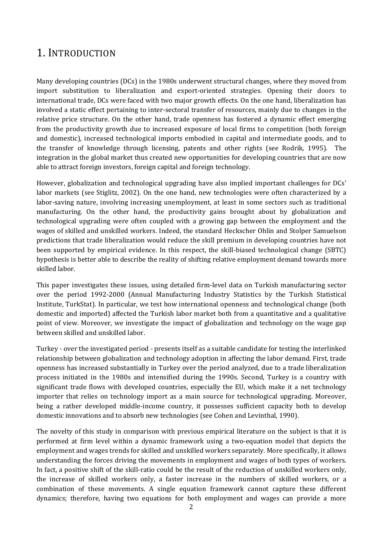# 1. INTRODUCTION

Many developing countries (DCs) in the 1980s underwent structural changes, where they moved from import substitution to liberalization and export-oriented strategies. Opening their doors to international trade, DCs were faced with two major growth effects. On the one hand, liberalization has involved a static effect pertaining to inter-sectoral transfer of resources, mainly due to changes in the relative price structure. On the other hand, trade openness has fostered a dynamic effect emerging from the productivity growth due to increased exposure of local firms to competition (both foreign and domestic), increased technological imports embodied in capital and intermediate goods, and to the transfer of knowledge through licensing, patents and other rights (see Rodrik, 1995). The integration in the global market thus created new opportunities for developing countries that are now able to attract foreign investors, foreign capital and foreign technology.

However, globalization and technological upgrading have also implied important challenges for DCs' labor markets (see Stiglitz, 2002). On the one hand, new technologies were often characterized by a labor-saving nature, involving increasing unemployment, at least in some sectors such as traditional manufacturing. On the other hand, the productivity gains brought about by globalization and technological upgrading were often coupled with a growing gap between the employment and the wages of skilled and unskilled workers. Indeed, the standard Heckscher Ohlin and Stolper Samuelson predictions that trade liberalization would reduce the skill premium in developing countries have not been supported by empirical evidence. In this respect, the skill-biased technological change (SBTC) hypothesis is better able to describe the reality of shifting relative employment demand towards more skilled labor.

This paper investigates these issues, using detailed firm-level data on Turkish manufacturing sector over the period 1992-2000 (Annual Manufacturing Industry Statistics by the Turkish Statistical Institute, TurkStat). In particular, we test how international openness and technological change (both domestic and imported) affected the Turkish labor market both from a quantitative and a qualitative point of view. Moreover, we investigate the impact of globalization and technology on the wage gap between skilled and unskilled labor.

Turkey - over the investigated period - presents itself as a suitable candidate for testing the interlinked relationship between globalization and technology adoption in affecting the labor demand. First, trade openness has increased substantially in Turkey over the period analyzed, due to a trade liberalization process initiated in the 1980s and intensified during the 1990s. Second, Turkey is a country with significant trade flows with developed countries, especially the EU, which make it a net technology importer that relies on technology import as a main source for technological upgrading. Moreover, being a rather developed middle-income country, it possesses sufficient capacity both to develop domestic innovations and to absorb new technologies (see Cohen and Levinthal, 1990).

The novelty of this study in comparison with previous empirical literature on the subject is that it is performed at firm level within a dynamic framework using a two-equation model that depicts the employment and wages trends for skilled and unskilled workers separately. More specifically, it allows understanding the forces driving the movements in employment and wages of both types of workers. In fact, a positive shift of the skill-ratio could be the result of the reduction of unskilled workers only, the increase of skilled workers only, a faster increase in the numbers of skilled workers, or a combination of these movements. A single equation framework cannot capture these different dynamics; therefore, having two equations for both employment and wages can provide a more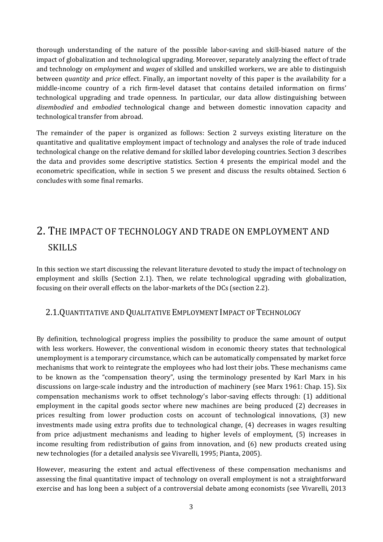thorough understanding of the nature of the possible labor-saving and skill-biased nature of the impact of globalization and technological upgrading. Moreover, separately analyzing the effect of trade and technology on *employment* and *wages* of skilled and unskilled workers, we are able to distinguish between *quantity* and *price* effect. Finally, an important novelty of this paper is the availability for a middle-income country of a rich firm-level dataset that contains detailed information on firms' technological upgrading and trade openness. In particular, our data allow distinguishing between disembodied and embodied technological change and between domestic innovation capacity and technological transfer from abroad.

The remainder of the paper is organized as follows: Section 2 surveys existing literature on the quantitative and qualitative employment impact of technology and analyses the role of trade induced technological change on the relative demand for skilled labor developing countries. Section 3 describes the data and provides some descriptive statistics. Section 4 presents the empirical model and the econometric specification, while in section 5 we present and discuss the results obtained. Section 6 concludes with some final remarks.

# 2. THE IMPACT OF TECHNOLOGY AND TRADE ON EMPLOYMENT AND SKILLS

In this section we start discussing the relevant literature devoted to study the impact of technology on employment and skills (Section 2.1). Then, we relate technological upgrading with globalization, focusing on their overall effects on the labor-markets of the DCs (section 2.2).

#### 2.1. QUANTITATIVE AND QUALITATIVE EMPLOYMENT IMPACT OF TECHNOLOGY

By definition, technological progress implies the possibility to produce the same amount of output with less workers. However, the conventional wisdom in economic theory states that technological unemployment is a temporary circumstance, which can be automatically compensated by market force mechanisms that work to reintegrate the employees who had lost their jobs. These mechanisms came to be known as the "compensation theory", using the terminology presented by Karl Marx in his discussions on large-scale industry and the introduction of machinery (see Marx 1961: Chap. 15). Six compensation mechanisms work to offset technology's labor-saving effects through: (1) additional employment in the capital goods sector where new machines are being produced (2) decreases in prices resulting from lower production costs on account of technological innovations, (3) new investments made using extra profits due to technological change, (4) decreases in wages resulting from price adjustment mechanisms and leading to higher levels of employment, (5) increases in income resulting from redistribution of gains from innovation, and  $(6)$  new products created using new technologies (for a detailed analysis see Vivarelli, 1995; Pianta, 2005).

However, measuring the extent and actual effectiveness of these compensation mechanisms and assessing the final quantitative impact of technology on overall employment is not a straightforward exercise and has long been a subject of a controversial debate among economists (see Vivarelli, 2013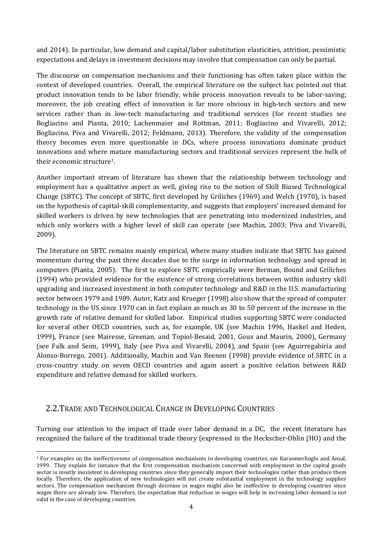and 2014). In particular, low demand and capital/labor substitution elasticities, attrition, pessimistic expectations and delays in investment decisions may involve that compensation can only be partial.

The discourse on compensation mechanisms and their functioning has often taken place within the context of developed countries. Overall, the empirical literature on the subject has pointed out that product innovation tends to be labor friendly, while process innovation reveals to be labor-saving; moreover, the job creating effect of innovation is far more obvious in high-tech sectors and new services rather than in low-tech manufacturing and traditional services (for recent studies see Bogliacino and Pianta, 2010; Lachenmaier and Rottman, 2011; Bogliacino and Vivarelli, 2012; Bogliacino, Piva and Vivarelli, 2012; Feldmann, 2013). Therefore, the validity of the compensation theory becomes even more questionable in DCs, where process innovations dominate product innovations and where mature manufacturing sectors and traditional services represent the bulk of their economic structure<sup>1</sup>.

Another important stream of literature has shown that the relationship between technology and employment has a qualitative aspect as well, giving rise to the notion of Skill Biased Technological Change (SBTC). The concept of SBTC, first developed by Griliches  $(1969)$  and Welch  $(1970)$ , is based on the hypothesis of capital-skill complementarity, and suggests that employers' increased demand for skilled workers is driven by new technologies that are penetrating into modernized industries, and which only workers with a higher level of skill can operate (see Machin, 2003; Piva and Vivarelli, 2009). 

The literature on SBTC remains mainly empirical, where many studies indicate that SBTC has gained momentum during the past three decades due to the surge in information technology and spread in computers (Pianta, 2005). The first to explore SBTC empirically were Berman, Bound and Griliches (1994) who provided evidence for the existence of strong correlations between within industry skill upgrading and increased investment in both computer technology and R&D in the U.S. manufacturing sector between 1979 and 1989. Autor, Katz and Krueger (1998) also show that the spread of computer technology in the US since 1970 can in fact explain as much as 30 to 50 percent of the increase in the growth rate of relative demand for skilled labor. Empirical studies supporting SBTC were conducted for several other OECD countries, such as, for example, UK (see Machin 1996, Haskel and Heden, 1999), France (see Mairesse, Greenan, and Topiol-Besaid, 2001, Goux and Maurin, 2000), Germany (see Falk and Seim, 1999), Italy (see Piva and Vivarelli, 2004), and Spain (see Aguirregabiria and Alonso-Borrego, 2001). Additionally, Machin and Van Reenen (1998) provide evidence of SBTC in a cross‐country study on seven OECD countries and again assert a positive relation between R&D expenditure and relative demand for skilled workers.

#### 2.2. TRADE AND TECHNOLOGICAL CHANGE IN DEVELOPING COUNTRIES

Turning our attention to the impact of trade over labor demand in a DC, the recent literature has recognized the failure of the traditional trade theory (expressed in the Heckscher-Ohlin (HO) and the

<sup>&</sup>lt;sup>1</sup> For examples on the ineffectiveness of compensation mechanisms in developing countries, see Karaomerlioglu and Ansal, 1999. They explain for instance that the first compensation mechanism concerned with employment in the capital goods sector is mostly inexistent in developing countries since they generally import their technologies rather than produce them locally. Therefore, the application of new technologies will not create substantial employment in the technology supplier sectors. The compensation mechanism through decrease in wages might also be ineffective in developing countries since wages there are already low. Therefore, the expectation that reduction in wages will help in increasing labor demand is not valid in the case of developing countries.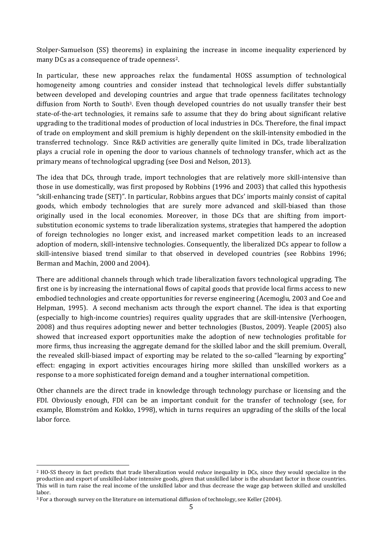Stolper-Samuelson (SS) theorems) in explaining the increase in income inequality experienced by many DCs as a consequence of trade openness<sup>2</sup>.

In particular, these new approaches relax the fundamental HOSS assumption of technological homogeneity among countries and consider instead that technological levels differ substantially between developed and developing countries and argue that trade openness facilitates technology diffusion from North to South<sup>3</sup>. Even though developed countries do not usually transfer their best state-of-the-art technologies, it remains safe to assume that they do bring about significant relative upgrading to the traditional modes of production of local industries in DCs. Therefore, the final impact of trade on employment and skill premium is highly dependent on the skill-intensity embodied in the transferred technology. Since R&D activities are generally quite limited in DCs, trade liberalization plays a crucial role in opening the door to various channels of technology transfer, which act as the primary means of technological upgrading (see Dosi and Nelson, 2013).

The idea that DCs, through trade, import technologies that are relatively more skill-intensive than those in use domestically, was first proposed by Robbins (1996 and 2003) that called this hypothesis "skill-enhancing trade (SET)". In particular, Robbins argues that DCs' imports mainly consist of capital goods, which embody technologies that are surely more advanced and skill-biased than those originally used in the local economies. Moreover, in those DCs that are shifting from importsubstitution economic systems to trade liberalization systems, strategies that hampered the adoption of foreign technologies no longer exist, and increased market competition leads to an increased adoption of modern, skill-intensive technologies. Consequently, the liberalized DCs appear to follow a skill-intensive biased trend similar to that observed in developed countries (see Robbins 1996; Berman and Machin, 2000 and 2004).

There are additional channels through which trade liberalization favors technological upgrading. The first one is by increasing the international flows of capital goods that provide local firms access to new embodied technologies and create opportunities for reverse engineering (Acemoglu, 2003 and Coe and Helpman, 1995). A second mechanism acts through the export channel. The idea is that exporting (especially to high-income countries) requires quality upgrades that are skill-intensive (Verhoogen, 2008) and thus requires adopting newer and better technologies (Bustos, 2009). Yeaple (2005) also showed that increased export opportunities make the adoption of new technologies profitable for more firms, thus increasing the aggregate demand for the skilled labor and the skill premium. Overall, the revealed skill-biased impact of exporting may be related to the so-called "learning by exporting" effect: engaging in export activities encourages hiring more skilled than unskilled workers as a response to a more sophisticated foreign demand and a tougher international competition.

Other channels are the direct trade in knowledge through technology purchase or licensing and the FDI. Obviously enough, FDI can be an important conduit for the transfer of technology (see, for example, Blomström and Kokko, 1998), which in turns requires an upgrading of the skills of the local labor force.

<sup>&</sup>lt;sup>2</sup> HO-SS theory in fact predicts that trade liberalization would *reduce* inequality in DCs, since they would specialize in the production and export of unskilled-labor intensive goods, given that unskilled labor is the abundant factor in those countries. This will in turn raise the real income of the unskilled labor and thus decrease the wage gap between skilled and unskilled labor. 

<sup>&</sup>lt;sup>3</sup> For a thorough survey on the literature on international diffusion of technology, see Keller (2004).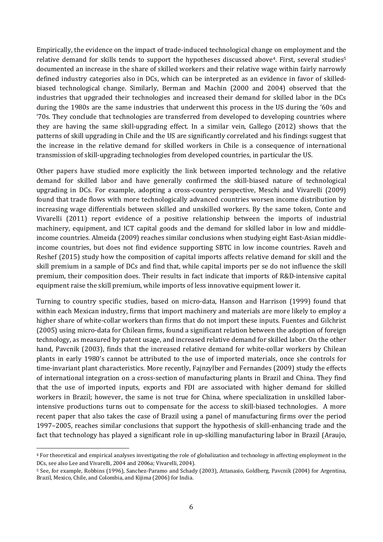Empirically, the evidence on the impact of trade-induced technological change on employment and the relative demand for skills tends to support the hypotheses discussed above<sup>4</sup>. First, several studies<sup>5</sup> documented an increase in the share of skilled workers and their relative wage within fairly narrowly defined industry categories also in DCs, which can be interpreted as an evidence in favor of skilledbiased technological change. Similarly, Berman and Machin (2000 and 2004) observed that the industries that upgraded their technologies and increased their demand for skilled labor in the DCs during the 1980s are the same industries that underwent this process in the US during the '60s and '70s. They conclude that technologies are transferred from developed to developing countries where they are having the same skill-upgrading effect. In a similar vein, Gallego  $(2012)$  shows that the patterns of skill upgrading in Chile and the US are significantly correlated and his findings suggest that the increase in the relative demand for skilled workers in Chile is a consequence of international transmission of skill-upgrading technologies from developed countries, in particular the US.

Other papers have studied more explicitly the link between imported technology and the relative demand for skilled labor and have generally confirmed the skill-biased nature of technological upgrading in DCs. For example, adopting a cross-country perspective, Meschi and Vivarelli (2009) found that trade flows with more technologically advanced countries worsen income distribution by increasing wage differentials between skilled and unskilled workers. By the same token, Conte and Vivarelli (2011) report evidence of a positive relationship between the imports of industrial machinery, equipment, and ICT capital goods and the demand for skilled labor in low and middleincome countries. Almeida (2009) reaches similar conclusions when studying eight East-Asian middleincome countries, but does not find evidence supporting SBTC in low income countries. Raveh and Reshef (2015) study how the composition of capital imports affects relative demand for skill and the skill premium in a sample of DCs and find that, while capital imports per se do not influence the skill premium, their composition does. Their results in fact indicate that imports of R&D-intensive capital equipment raise the skill premium, while imports of less innovative equipment lower it.

Turning to country specific studies, based on micro-data, Hanson and Harrison (1999) found that within each Mexican industry, firms that import machinery and materials are more likely to employ a higher share of white-collar workers than firms that do not import these inputs. Fuentes and Gilchrist (2005) using micro-data for Chilean firms, found a significant relation between the adoption of foreign technology, as measured by patent usage, and increased relative demand for skilled labor. On the other hand, Pavcnik (2003), finds that the increased relative demand for white-collar workers by Chilean plants in early 1980's cannot be attributed to the use of imported materials, once she controls for time-invariant plant characteristics. More recently, Fajnzylber and Fernandes (2009) study the effects of international integration on a cross-section of manufacturing plants in Brazil and China. They find that the use of imported inputs, exports and FDI are associated with higher demand for skilled workers in Brazil; however, the same is not true for China, where specialization in unskilled laborintensive productions turns out to compensate for the access to skill-biased technologies. A more recent paper that also takes the case of Brazil using a panel of manufacturing firms over the period 1997–2005, reaches similar conclusions that support the hypothesis of skill-enhancing trade and the fact that technology has played a significant role in up-skilling manufacturing labor in Brazil (Araujo,

<sup>&</sup>lt;sup>4</sup> For theoretical and empirical analyses investigating the role of globalization and technology in affecting employment in the DCs, see also Lee and Vivarelli, 2004 and 2006a; Vivarelli, 2004).

<sup>5</sup> See, for example, Robbins (1996), Sanchez-Paramo and Schady (2003), Attanasio, Goldberg, Pavcnik (2004) for Argentina, Brazil, Mexico, Chile, and Colombia, and Kijima (2006) for India.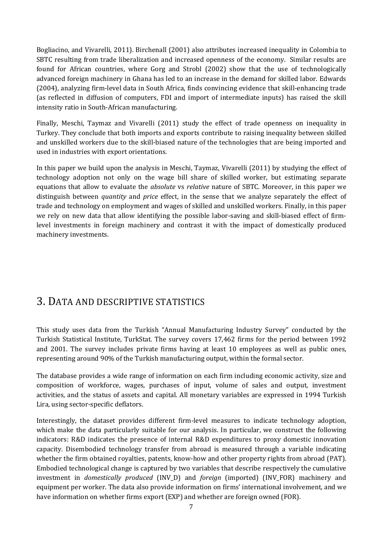Bogliacino, and Vivarelli, 2011). Birchenall (2001) also attributes increased inequality in Colombia to SBTC resulting from trade liberalization and increased openness of the economy. Similar results are found for African countries, where Gorg and Strobl (2002) show that the use of technologically advanced foreign machinery in Ghana has led to an increase in the demand for skilled labor. Edwards (2004), analyzing firm-level data in South Africa, finds convincing evidence that skill-enhancing trade (as reflected in diffusion of computers, FDI and import of intermediate inputs) has raised the skill intensity ratio in South-African manufacturing.

Finally, Meschi, Taymaz and Vivarelli (2011) study the effect of trade openness on inequality in Turkey. They conclude that both imports and exports contribute to raising inequality between skilled and unskilled workers due to the skill-biased nature of the technologies that are being imported and used in industries with export orientations.

In this paper we build upon the analysis in Meschi, Taymaz, Vivarelli  $(2011)$  by studying the effect of technology adoption not only on the wage bill share of skilled worker, but estimating separate equations that allow to evaluate the *absolute* vs *relative* nature of SBTC. Moreover, in this paper we distinguish between *quantity* and *price* effect, in the sense that we analyze separately the effect of trade and technology on employment and wages of skilled and unskilled workers. Finally, in this paper we rely on new data that allow identifying the possible labor-saving and skill-biased effect of firmlevel investments in foreign machinery and contrast it with the impact of domestically produced machinery investments.

# 3. DATA AND DESCRIPTIVE STATISTICS

This study uses data from the Turkish "Annual Manufacturing Industry Survey" conducted by the Turkish Statistical Institute, TurkStat. The survey covers 17,462 firms for the period between 1992 and 2001. The survey includes private firms having at least 10 employees as well as public ones, representing around 90% of the Turkish manufacturing output, within the formal sector.

The database provides a wide range of information on each firm including economic activity, size and composition of workforce, wages, purchases of input, volume of sales and output, investment activities, and the status of assets and capital. All monetary variables are expressed in 1994 Turkish Lira, using sector-specific deflators.

Interestingly, the dataset provides different firm-level measures to indicate technology adoption, which make the data particularly suitable for our analysis. In particular, we construct the following indicators: R&D indicates the presence of internal R&D expenditures to proxy domestic innovation capacity. Disembodied technology transfer from abroad is measured through a variable indicating whether the firm obtained royalties, patents, know-how and other property rights from abroad (PAT). Embodied technological change is captured by two variables that describe respectively the cumulative investment in *domestically produced* (INV\_D) and *foreign* (imported) (INV\_FOR) machinery and equipment per worker. The data also provide information on firms' international involvement, and we have information on whether firms export (EXP) and whether are foreign owned (FOR).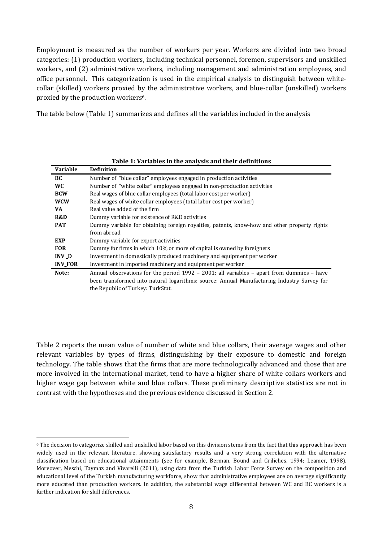Employment is measured as the number of workers per year. Workers are divided into two broad categories: (1) production workers, including technical personnel, foremen, supervisors and unskilled workers, and (2) administrative workers, including management and administration employees, and office personnel. This categorization is used in the empirical analysis to distinguish between whitecollar (skilled) workers proxied by the administrative workers, and blue-collar (unskilled) workers proxied by the production workers<sup>6</sup>.

The table below (Table 1) summarizes and defines all the variables included in the analysis

| Table 1: Variables in the analysis and their definitions |                                                                                              |  |  |  |  |
|----------------------------------------------------------|----------------------------------------------------------------------------------------------|--|--|--|--|
| <b>Variable</b>                                          | <b>Definition</b>                                                                            |  |  |  |  |
| BC                                                       | Number of "blue collar" employees engaged in production activities                           |  |  |  |  |
| WC.                                                      | Number of "white collar" employees engaged in non-production activities                      |  |  |  |  |
| <b>BCW</b>                                               | Real wages of blue collar employees (total labor cost per worker)                            |  |  |  |  |
| <b>WCW</b>                                               | Real wages of white collar employees (total labor cost per worker)                           |  |  |  |  |
| VA.                                                      | Real value added of the firm                                                                 |  |  |  |  |
| R&D                                                      | Dummy variable for existence of R&D activities                                               |  |  |  |  |
| <b>PAT</b>                                               | Dummy variable for obtaining foreign royalties, patents, know-how and other property rights  |  |  |  |  |
|                                                          | from abroad                                                                                  |  |  |  |  |
| EXP.                                                     | Dummy variable for export activities                                                         |  |  |  |  |
| <b>FOR</b>                                               | Dummy for firms in which 10% or more of capital is owned by foreigners                       |  |  |  |  |
| INV D                                                    | Investment in domestically produced machinery and equipment per worker                       |  |  |  |  |
| <b>INV FOR</b>                                           | Investment in imported machinery and equipment per worker                                    |  |  |  |  |
| Note:                                                    | Annual observations for the period $1992 - 2001$ ; all variables - apart from dummies - have |  |  |  |  |
|                                                          | been transformed into natural logarithms; source: Annual Manufacturing Industry Survey for   |  |  |  |  |
|                                                          | the Republic of Turkey: TurkStat.                                                            |  |  |  |  |

Table 2 reports the mean value of number of white and blue collars, their average wages and other relevant variables by types of firms, distinguishing by their exposure to domestic and foreign technology. The table shows that the firms that are more technologically advanced and those that are more involved in the international market, tend to have a higher share of white collars workers and higher wage gap between white and blue collars. These preliminary descriptive statistics are not in contrast with the hypotheses and the previous evidence discussed in Section 2.

 <sup>6</sup> The decision to categorize skilled and unskilled labor based on this division stems from the fact that this approach has been widely used in the relevant literature, showing satisfactory results and a very strong correlation with the alternative classification based on educational attainments (see for example, Berman, Bound and Griliches, 1994; Leamer, 1998). Moreover, Meschi, Taymaz and Vivarelli (2011), using data from the Turkish Labor Force Survey on the composition and educational level of the Turkish manufacturing workforce, show that administrative employees are on average significantly more educated than production workers. In addition, the substantial wage differential between WC and BC workers is a further indication for skill differences.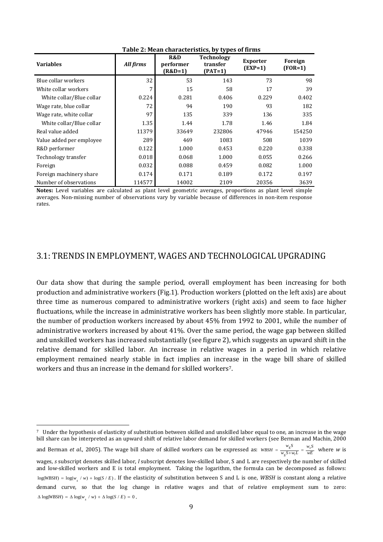| <b>Variables</b>         | All firms | R&D<br>performer<br>(R&D=1) | <b>Technology</b><br>transfer<br>$(PAT=1)$ | <b>Exporter</b><br>$(EXP=1)$ | Foreign<br>$(FOR=1)$ |
|--------------------------|-----------|-----------------------------|--------------------------------------------|------------------------------|----------------------|
| Blue collar workers      | 32        | 53                          | 143                                        | 73                           | 98                   |
| White collar workers     | 7         | 15                          | 58                                         | 17                           | 39                   |
| White collar/Blue collar | 0.224     | 0.281                       | 0.406                                      | 0.229                        | 0.402                |
| Wage rate, blue collar   | 72        | 94                          | 190                                        | 93                           | 182                  |
| Wage rate, white collar  | 97        | 135                         | 339                                        | 136                          | 335                  |
| White collar/Blue collar | 1.35      | 1.44                        | 1.78                                       | 1.46                         | 1.84                 |
| Real value added         | 11379     | 33649                       | 232806                                     | 47946                        | 154250               |
| Value added per employee | 289       | 469                         | 1083                                       | 508                          | 1039                 |
| R&D performer            | 0.122     | 1.000                       | 0.453                                      | 0.220                        | 0.338                |
| Technology transfer      | 0.018     | 0.068                       | 1.000                                      | 0.055                        | 0.266                |
| Foreign                  | 0.032     | 0.088                       | 0.459                                      | 0.082                        | 1.000                |
| Foreign machinery share  | 0.174     | 0.171                       | 0.189                                      | 0.172                        | 0.197                |
| Number of observations   | 114577    | 14002                       | 2109                                       | 20356                        | 3639                 |

**Table 2: Mean characteristics, by types of firms** 

**Notes:** Level variables are calculated as plant level geometric averages, proportions as plant level simple averages. Non-missing number of observations vary by variable because of differences in non-item response rates. 

#### 3.1: TRENDS IN EMPLOYMENT, WAGES AND TECHNOLOGICAL UPGRADING

Our data show that during the sample period, overall employment has been increasing for both production and administrative workers (Fig.1). Production workers (plotted on the left axis) are about three time as numerous compared to administrative workers (right axis) and seem to face higher fluctuations, while the increase in administrative workers has been slightly more stable. In particular, the number of production workers increased by about  $45%$  from 1992 to 2001, while the number of administrative workers increased by about  $41\%$ . Over the same period, the wage gap between skilled and unskilled workers has increased substantially (see figure 2), which suggests an upward shift in the relative demand for skilled labor. An increase in relative wages in a period in which relative employment remained nearly stable in fact implies an increase in the wage bill share of skilled workers and thus an increase in the demand for skilled workers<sup>7</sup>.

<sup>&</sup>lt;sup>7</sup> Under the hypothesis of elasticity of substitution between skilled and unskilled labor equal to one, an increase in the wage bill share can be interpreted as an upward shift of relative labor demand for skilled workers (see Berman and Machin, 2000 and Berman *et al.*, 2005). The wage bill share of skilled workers can be expressed as:  $w_{BSH} = \frac{w_s S}{w_c S + w_l L} = \frac{w_s S}{w E}$  $w_s S + w_l L$  $WBSH = \frac{w_s S}{w_s S + w_l L} = \frac{w_s S}{w E}$  where *w* is wages, *s* subscript denotes skilled labor, *l* subscript denotes low-skilled labor, S and L are respectively the number of skilled and low-skilled workers and E is total employment. Taking the logarithm, the formula can be decomposed as follows:  $log(WBSH) = log(w_{\text{z}} / w) + log(S / E)$ . If the elasticity of substitution between S and L is one, *WBSH* is constant along a relative demand curve, so that the log change in relative wages and that of relative employment sum to zero:  $\Delta \log(WBSH) = \Delta \log(w_x / w) + \Delta \log(S / E) = 0$ .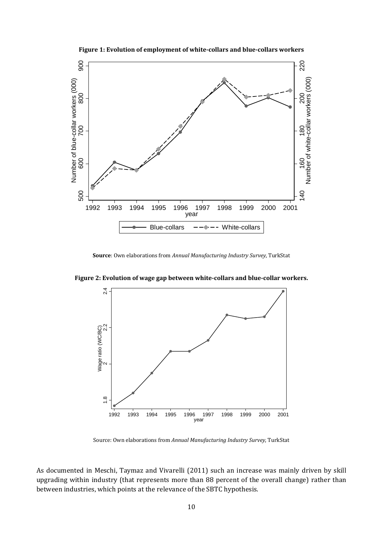

**Figure 1: Evolution of employment of white‐collars and blue‐collars workers**

**Source**: Own elaborations from *Annual Manufacturing Industry Survey*, TurkStat 



**Figure 2: Evolution of wage gap between white‐collars and blue‐collar workers.** 

Source: Own elaborations from *Annual Manufacturing Industry Survey*, TurkStat 

As documented in Meschi, Taymaz and Vivarelli (2011) such an increase was mainly driven by skill upgrading within industry (that represents more than 88 percent of the overall change) rather than between industries, which points at the relevance of the SBTC hypothesis.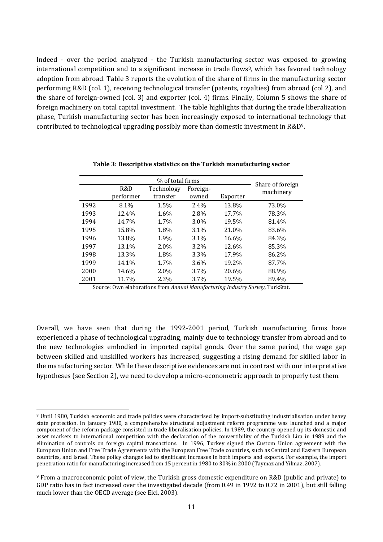Indeed - over the period analyzed - the Turkish manufacturing sector was exposed to growing international competition and to a significant increase in trade flows $\frac{8}{3}$ , which has favored technology adoption from abroad. Table 3 reports the evolution of the share of firms in the manufacturing sector performing R&D (col. 1), receiving technological transfer (patents, royalties) from abroad (col 2), and the share of foreign-owned (col. 3) and exporter (col. 4) firms. Finally, Column 5 shows the share of foreign machinery on total capital investment. The table highlights that during the trade liberalization phase, Turkish manufacturing sector has been increasingly exposed to international technology that contributed to technological upgrading possibly more than domestic investment in  $R&D<sup>9</sup>$ .

|      |           | Share of foreign |          |          |           |
|------|-----------|------------------|----------|----------|-----------|
|      | R&D       | Technology       | Foreign- |          | machinery |
|      | performer | transfer         | owned    | Exporter |           |
| 1992 | 8.1%      | 1.5%             | 2.4%     | 13.8%    | 73.0%     |
| 1993 | 12.4%     | 1.6%             | 2.8%     | 17.7%    | 78.3%     |
| 1994 | 14.7%     | 1.7%             | $3.0\%$  | 19.5%    | 81.4%     |
| 1995 | 15.8%     | 1.8%             | 3.1%     | 21.0%    | 83.6%     |
| 1996 | 13.8%     | 1.9%             | $3.1\%$  | 16.6%    | 84.3%     |
| 1997 | 13.1%     | 2.0%             | $3.2\%$  | 12.6%    | 85.3%     |
| 1998 | 13.3%     | 1.8%             | 3.3%     | 17.9%    | 86.2%     |
| 1999 | 14.1%     | 1.7%             | 3.6%     | 19.2%    | 87.7%     |
| 2000 | 14.6%     | 2.0%             | 3.7%     | 20.6%    | 88.9%     |
| 2001 | 11.7%     | 2.3%             | 3.7%     | 19.5%    | 89.4%     |

**Table 3: Descriptive statistics on the Turkish manufacturing sector**

Source: Own elaborations from *Annual Manufacturing Industry Survey*, TurkStat. 

Overall, we have seen that during the 1992-2001 period, Turkish manufacturing firms have experienced a phase of technological upgrading, mainly due to technology transfer from abroad and to the new technologies embodied in imported capital goods. Over the same period, the wage gap between skilled and unskilled workers has increased, suggesting a rising demand for skilled labor in the manufacturing sector. While these descriptive evidences are not in contrast with our interpretative hypotheses (see Section 2), we need to develop a micro-econometric approach to properly test them.

 <sup>8</sup> Until 1980, Turkish economic and trade policies were characterised by import-substituting industrialisation under heavy state protection. In January 1980, a comprehensive structural adjustment reform programme was launched and a major component of the reform package consisted in trade liberalisation policies. In 1989, the country opened up its domestic and asset markets to international competition with the declaration of the convertibility of the Turkish Lira in 1989 and the elimination of controls on foreign capital transactions. In 1996, Turkey signed the Custom Union agreement with the European Union and Free Trade Agreements with the European Free Trade countries, such as Central and Eastern European countries, and Israel. These policy changes led to significant increases in both imports and exports. For example, the import penetration ratio for manufacturing increased from 15 percent in 1980 to 30% in 2000 (Taymaz and Yilmaz, 2007).

<sup>&</sup>lt;sup>9</sup> From a macroeconomic point of view, the Turkish gross domestic expenditure on R&D (public and private) to GDP ratio has in fact increased over the investigated decade (from 0.49 in 1992 to 0.72 in 2001), but still falling much lower than the OECD average (see Elci, 2003).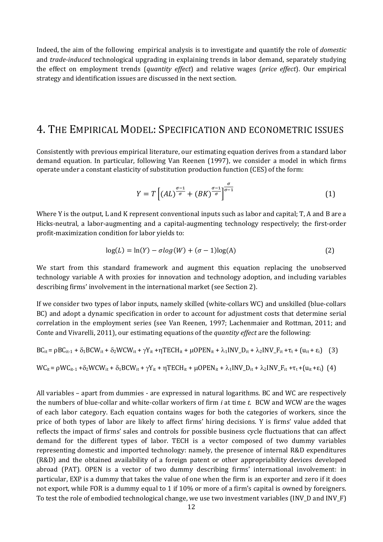Indeed, the aim of the following empirical analysis is to investigate and quantify the role of *domestic* and *trade-induced* technological upgrading in explaining trends in labor demand, separately studying the effect on employment trends (*quantity effect*) and relative wages (*price effect*). Our empirical strategy and identification issues are discussed in the next section.

#### 4. THE EMPIRICAL MODEL: SPECIFICATION AND ECONOMETRIC ISSUES

Consistently with previous empirical literature, our estimating equation derives from a standard labor demand equation. In particular, following Van Reenen (1997), we consider a model in which firms operate under a constant elasticity of substitution production function (CES) of the form:

$$
Y = T\left[ (AL)^{\frac{\sigma - 1}{\sigma}} + (BK)^{\frac{\sigma - 1}{\sigma}} \right]^{\frac{\sigma}{\sigma - 1}} \tag{1}
$$

Where Y is the output, L and K represent conventional inputs such as labor and capital; T, A and B are a Hicks-neutral, a labor-augmenting and a capital-augmenting technology respectively; the first-order profit-maximization condition for labor yields to:

$$
log(L) = ln(Y) - \sigma log(W) + (\sigma - 1)log(A)
$$
\n(2)

We start from this standard framework and augment this equation replacing the unobserved technology variable A with proxies for innovation and technology adoption, and including variables describing firms' involvement in the international market (see Section 2).

If we consider two types of labor inputs, namely skilled (white-collars WC) and unskilled (blue-collars BC) and adopt a dynamic specification in order to account for adjustment costs that determine serial correlation in the employment series (see Van Reenen, 1997; Lachenmaier and Rottman, 2011; and Conte and Vivarelli, 2011), our estimating equations of the *quantity effect* are the following:

$$
BC_{it} = \rho BC_{it-1} + \delta_1 BCW_{it} + \delta_2 WCW_{it} + \gamma Y_{it} + \eta TECH_{it} + \mu OPEN_{it} + \lambda_1 INV_{it} + \lambda_2 INV_{it} + \tau_t + (u_{it} + \epsilon_i) \quad (3)
$$
  

$$
WC_{it} = \rho WC_{it-1} + \delta_2 WCW_{it} + \delta_1 BCW_{it} + \gamma Y_{it} + \eta TECH_{it} + \mu OPEN_{it} + \lambda_1 INV_{it} + \lambda_2 INV_{it} + \tau_t + (u_{it} + \epsilon_i) \quad (4)
$$

All variables – apart from dummies - are expressed in natural logarithms. BC and WC are respectively the numbers of blue-collar and white-collar workers of firm *i* at time *t*. BCW and WCW are the wages of each labor category. Each equation contains wages for both the categories of workers, since the price of both types of labor are likely to affect firms' hiring decisions. Y is firms' value added that reflects the impact of firms' sales and controls for possible business cycle fluctuations that can affect demand for the different types of labor. TECH is a vector composed of two dummy variables representing domestic and imported technology: namely, the presence of internal R&D expenditures (R&D) and the obtained availability of a foreign patent or other appropriability devices developed abroad (PAT). OPEN is a vector of two dummy describing firms' international involvement: in particular, EXP is a dummy that takes the value of one when the firm is an exporter and zero if it does not export, while FOR is a dummy equal to 1 if 10% or more of a firm's capital is owned by foreigners. To test the role of embodied technological change, we use two investment variables (INV\_D and INV\_F)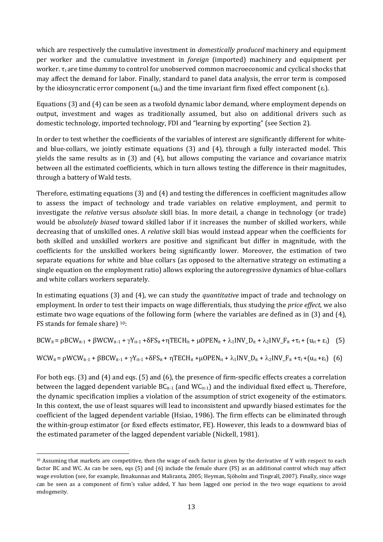which are respectively the cumulative investment in *domestically produced* machinery and equipment per worker and the cumulative investment in *foreign* (imported) machinery and equipment per worker.  $\tau_t$  are time dummy to control for unobserved common macroeconomic and cyclical shocks that may affect the demand for labor. Finally, standard to panel data analysis, the error term is composed by the idiosyncratic error component  $(u_{it})$  and the time invariant firm fixed effect component  $(\epsilon_i)$ .

Equations  $(3)$  and  $(4)$  can be seen as a twofold dynamic labor demand, where employment depends on output, investment and wages as traditionally assumed, but also on additional drivers such as domestic technology, imported technology, FDI and "learning by exporting" (see Section 2).

In order to test whether the coefficients of the variables of interest are significantly different for whiteand blue-collars, we jointly estimate equations  $(3)$  and  $(4)$ , through a fully interacted model. This yields the same results as in  $(3)$  and  $(4)$ , but allows computing the variance and covariance matrix between all the estimated coefficients, which in turn allows testing the difference in their magnitudes, through a battery of Wald tests.

Therefore, estimating equations (3) and (4) and testing the differences in coefficient magnitudes allow to assess the impact of technology and trade variables on relative employment, and permit to investigate the *relative* versus *absolute* skill bias. In more detail, a change in technology (or trade) would be *absolutely biased* toward skilled labor if it increases the number of skilled workers, while decreasing that of unskilled ones. A *relative* skill bias would instead appear when the coefficients for both skilled and unskilled workers are positive and significant but differ in magnitude, with the coefficients for the unskilled workers being significantly lower. Moreover, the estimation of two separate equations for white and blue collars (as opposed to the alternative strategy on estimating a single equation on the employment ratio) allows exploring the autoregressive dynamics of blue-collars and white collars workers separately.

In estimating equations (3) and (4), we can study the *quantitative* impact of trade and technology on employment. In order to test their impacts on wage differentials, thus studying the *price effect*, we also estimate two wage equations of the following form (where the variables are defined as in (3) and (4), FS stands for female share) <sup>10</sup>:

 $BCW_{it} = \rho BCW_{it-1} + \beta WCW_{it-1} + \gamma Y_{it-1} + \delta FS_{it} + \eta TECH_{it} + \mu OPEN_{it} + \lambda_1INV\_D_{it} + \lambda_2INV\_F_{it} + \tau_t + (u_{it} + \epsilon_i)$  (5)

 $WCW_{it} = \rho WCW_{it-1} + \beta BCW_{it-1} + \gamma Y_{it-1} + \delta FS_{it} + \eta T ECH_{it} + \mu OPEN_{it} + \lambda_1 INV_{it} + \lambda_2INV_F_{it} + \tau_t + (u_{it} + \epsilon_i)$  (6)

For both eqs.  $(3)$  and  $(4)$  and eqs.  $(5)$  and  $(6)$ , the presence of firm-specific effects creates a correlation between the lagged dependent variable  $BC_{it-1}$  (and  $WC_{it-1}$ ) and the individual fixed effect  $u_i$ . Therefore, the dynamic specification implies a violation of the assumption of strict exogeneity of the estimators. In this context, the use of least squares will lead to inconsistent and upwardly biased estimates for the coefficient of the lagged dependent variable (Hsiao, 1986). The firm effects can be eliminated through the within-group estimator (or fixed effects estimator, FE). However, this leads to a downward bias of the estimated parameter of the lagged dependent variable (Nickell, 1981).

  $10$  Assuming that markets are competitive, then the wage of each factor is given by the derivative of Y with respect to each factor BC and WC. As can be seen, eqs (5) and (6) include the female share (FS) as an additional control which may affect wage evolution (see, for example, Ilmakunnas and Maliranta, 2005; Heyman, Sjöholm and Tingvall, 2007). Finally, since wage can be seen as a component of firm's value added, Y has been lagged one period in the two wage equations to avoid endogeneity.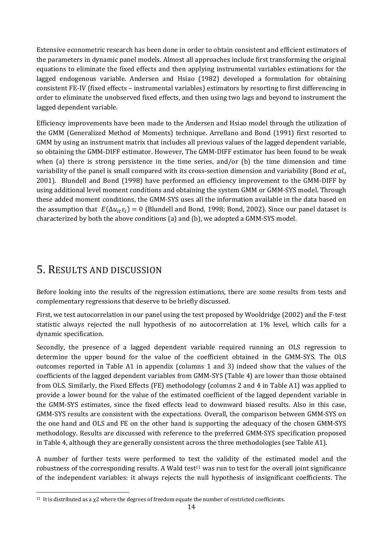Extensive econometric research has been done in order to obtain consistent and efficient estimators of the parameters in dynamic panel models. Almost all approaches include first transforming the original equations to eliminate the fixed effects and then applying instrumental variables estimations for the lagged endogenous variable. Andersen and Hsiao (1982) developed a formulation for obtaining consistent FE-IV (fixed effects – instrumental variables) estimators by resorting to first differencing in order to eliminate the unobserved fixed effects, and then using two lags and beyond to instrument the lagged dependent variable.

Efficiency improvements have been made to the Andersen and Hsiao model through the utilization of the GMM (Generalized Method of Moments) technique. Arrellano and Bond (1991) first resorted to GMM by using an instrument matrix that includes all previous values of the lagged dependent variable, so obtaining the GMM-DIFF estimator. However, The GMM-DIFF estimator has been found to be weak when  $\alpha$  (a) there is strong persistence in the time series, and/or  $\beta$ ) the time dimension and time variability of the panel is small compared with its cross-section dimension and variability (Bond *et al.*, 2001). Blundell and Bond (1998) have performed an efficiency improvement to the GMM-DIFF by using additional level moment conditions and obtaining the system GMM or GMM-SYS model. Through these added moment conditions, the GMM-SYS uses all the information available in the data based on the assumption that  $E(\Delta u_i, \varepsilon_i) = 0$  (Blundell and Bond, 1998; Bond, 2002). Since our panel dataset is characterized by both the above conditions  $(a)$  and  $(b)$ , we adopted a GMM-SYS model.

# 5. RESULTS AND DISCUSSION

Before looking into the results of the regression estimations, there are some results from tests and complementary regressions that deserve to be briefly discussed.

First, we test autocorrelation in our panel using the test proposed by Wooldridge (2002) and the F-test statistic always rejected the null hypothesis of no autocorrelation at  $1\%$  level, which calls for a dynamic specification.

Secondly, the presence of a lagged dependent variable required running an OLS regression to determine the upper bound for the value of the coefficient obtained in the GMM-SYS. The OLS outcomes reported in Table A1 in appendix (columns 1 and 3) indeed show that the values of the coefficients of the lagged dependent variables from GMM-SYS (Table 4) are lower than those obtained from OLS. Similarly, the Fixed Effects (FE) methodology (columns 2 and 4 in Table A1) was applied to provide a lower bound for the value of the estimated coefficient of the lagged dependent variable in the GMM-SYS estimates, since the fixed effects lead to downward biased results. Also in this case, GMM-SYS results are consistent with the expectations. Overall, the comparison between GMM-SYS on the one hand and OLS and FE on the other hand is supporting the adequacy of the chosen GMM-SYS methodology. Results are discussed with reference to the preferred GMM-SYS specification proposed in Table 4, although they are generally consistent across the three methodologies (see Table A1).

A number of further tests were performed to test the validity of the estimated model and the robustness of the corresponding results. A Wald test<sup>11</sup> was run to test for the overall joint significance of the independent variables: it always rejects the null hypothesis of insignificant coefficients. The

<sup>&</sup>lt;sup>11</sup> It is distributed as a  $\chi$ 2 where the degrees of freedom equate the number of restricted coefficients.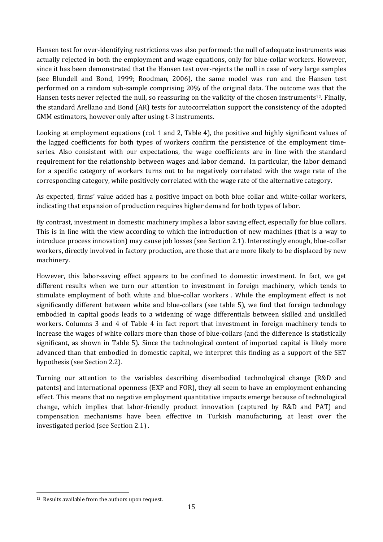Hansen test for over-identifying restrictions was also performed: the null of adequate instruments was actually rejected in both the employment and wage equations, only for blue-collar workers. However, since it has been demonstrated that the Hansen test over-rejects the null in case of very large samples (see Blundell and Bond, 1999; Roodman, 2006), the same model was run and the Hansen test performed on a random sub-sample comprising 20% of the original data. The outcome was that the Hansen tests never rejected the null, so reassuring on the validity of the chosen instruments<sup>12</sup>. Finally, the standard Arellano and Bond (AR) tests for autocorrelation support the consistency of the adopted GMM estimators, however only after using t-3 instruments.

Looking at employment equations (col. 1 and 2, Table 4), the positive and highly significant values of the lagged coefficients for both types of workers confirm the persistence of the employment timeseries. Also consistent with our expectations, the wage coefficients are in line with the standard requirement for the relationship between wages and labor demand. In particular, the labor demand for a specific category of workers turns out to be negatively correlated with the wage rate of the corresponding category, while positively correlated with the wage rate of the alternative category.

As expected, firms' value added has a positive impact on both blue collar and white-collar workers, indicating that expansion of production requires higher demand for both types of labor.

By contrast, investment in domestic machinery implies a labor saving effect, especially for blue collars. This is in line with the view according to which the introduction of new machines (that is a way to introduce process innovation) may cause job losses (see Section 2.1). Interestingly enough, blue-collar workers, directly involved in factory production, are those that are more likely to be displaced by new machinery. 

However, this labor-saving effect appears to be confined to domestic investment. In fact, we get different results when we turn our attention to investment in foreign machinery, which tends to stimulate employment of both white and blue-collar workers . While the employment effect is not significantly different between white and blue-collars (see table 5), we find that foreign technology embodied in capital goods leads to a widening of wage differentials between skilled and unskilled workers. Columns 3 and 4 of Table 4 in fact report that investment in foreign machinery tends to increase the wages of white collars more than those of blue-collars (and the difference is statistically significant, as shown in Table 5). Since the technological content of imported capital is likely more advanced than that embodied in domestic capital, we interpret this finding as a support of the SET hypothesis (see Section 2.2).

Turning our attention to the variables describing disembodied technological change (R&D and patents) and international openness (EXP and FOR), they all seem to have an employment enhancing effect. This means that no negative employment quantitative impacts emerge because of technological change, which implies that labor-friendly product innovation (captured by R&D and PAT) and compensation mechanisms have been effective in Turkish manufacturing, at least over the investigated period (see Section 2.1).

<sup>&</sup>lt;sup>12</sup> Results available from the authors upon request.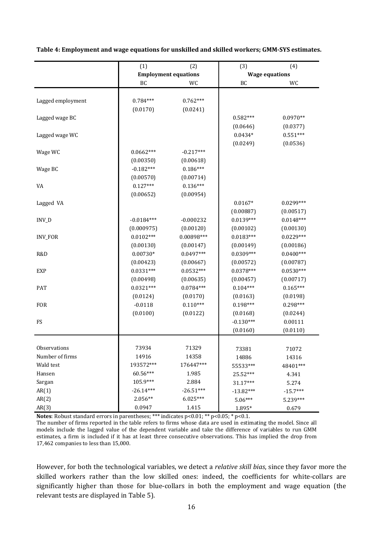|                            | (2)<br>(1)<br><b>Employment equations</b> |              | (3)         | (4)                   |
|----------------------------|-------------------------------------------|--------------|-------------|-----------------------|
|                            |                                           |              |             | <b>Wage equations</b> |
|                            | BC                                        | WC           | BC          | WC                    |
| Lagged employment          | $0.784***$                                | $0.762***$   |             |                       |
|                            | (0.0170)                                  | (0.0241)     |             |                       |
| Lagged wage BC             |                                           |              | $0.582***$  | $0.0970**$            |
|                            |                                           |              | (0.0646)    | (0.0377)              |
| Lagged wage WC             |                                           |              | $0.0434*$   | $0.551***$            |
|                            |                                           |              | (0.0249)    | (0.0536)              |
| Wage WC                    | $0.0662***$                               | $-0.217***$  |             |                       |
|                            | (0.00350)                                 | (0.00618)    |             |                       |
| Wage BC                    | $-0.182***$                               | $0.186***$   |             |                       |
|                            | (0.00570)                                 | (0.00714)    |             |                       |
| VA                         | $0.127***$                                | $0.136***$   |             |                       |
|                            | (0.00652)                                 | (0.00954)    |             |                       |
| Lagged VA                  |                                           |              | $0.0167*$   | $0.0299***$           |
|                            |                                           |              | (0.00887)   | (0.00517)             |
| INV_D                      | $-0.0184***$                              | $-0.000232$  | $0.0139***$ | $0.0148***$           |
|                            | (0.000975)                                | (0.00120)    | (0.00102)   | (0.00130)             |
| <b>INV_FOR</b>             | $0.0102***$                               | $0.00898***$ | $0.0183***$ | $0.0229***$           |
|                            | (0.00130)                                 | (0.00147)    | (0.00149)   | (0.00186)             |
| R&D                        | $0.00730*$                                | $0.0497***$  | $0.0309***$ | $0.0400***$           |
|                            | (0.00423)                                 | (0.00667)    | (0.00572)   | (0.00787)             |
| EXP                        | $0.0331***$                               | $0.0532***$  | $0.0378***$ | $0.0530***$           |
|                            | (0.00498)                                 | (0.00635)    | (0.00457)   | (0.00717)             |
| <b>PAT</b>                 | $0.0321***$                               | $0.0784***$  | $0.104***$  | $0.165***$            |
|                            | (0.0124)                                  | (0.0170)     | (0.0163)    | (0.0198)              |
| <b>FOR</b>                 | $-0.0118$                                 | $0.110***$   | $0.198***$  | $0.298***$            |
|                            | (0.0100)                                  | (0.0122)     | (0.0168)    | (0.0244)              |
| FS                         |                                           |              | $-0.130***$ | 0.00111               |
|                            |                                           |              | (0.0160)    | (0.0110)              |
|                            |                                           |              |             |                       |
| <i><b>Observations</b></i> | 73934                                     | 71329        | 73381       | 71072                 |
| Number of firms            | 14916                                     | 14358        | 14886       | 14316                 |
| Wald test                  | 193572***                                 | 176447***    | 55533***    | 48401***              |
| Hansen                     | 60.56***                                  | 1.985        | 25.52***    | 4.341                 |
| Sargan                     | 105.9***                                  | 2.884        | 31.17***    | 5.274                 |
| AR(1)                      | $-26.14***$                               | $-26.51***$  | $-13.82***$ | $-15.7***$            |
| AR(2)                      | $2.056**$                                 | $6.025***$   | $5.06***$   | 5.239***              |
| AR(3)                      | 0.0947                                    | 1.415        | 1.895*      | 0.679                 |

**Table 4: Employment and wage equations for unskilled and skilled workers; GMM‐SYS estimates.** 

**Notes**: Robust standard errors in parentheses; \*\*\* indicates  $p$ <0.01; \*\*  $p$ <0.05; \*  $p$ <0.1.

The number of firms reported in the table refers to firms whose data are used in estimating the model. Since all models include the lagged value of the dependent variable and take the difference of variables to run GMM estimates, a firm is included if it has at least three consecutive observations. This has implied the drop from 17,462 companies to less than 15,000.

However, for both the technological variables, we detect a *relative skill bias*, since they favor more the skilled workers rather than the low skilled ones: indeed, the coefficients for white-collars are significantly higher than those for blue-collars in both the employment and wage equation (the relevant tests are displayed in Table 5).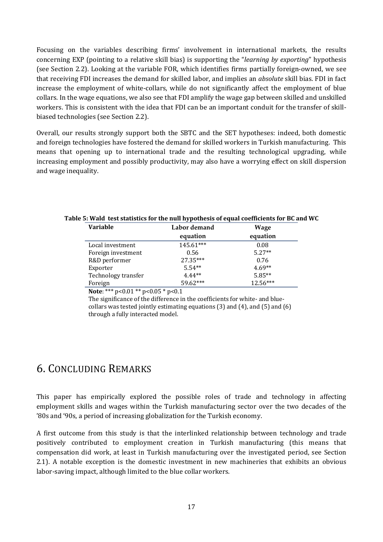Focusing on the variables describing firms' involvement in international markets, the results concerning EXP (pointing to a relative skill bias) is supporting the "*learning by exporting*" hypothesis (see Section 2.2). Looking at the variable FOR, which identifies firms partially foreign-owned, we see that receiving FDI increases the demand for skilled labor, and implies an *absolute* skill bias. FDI in fact increase the employment of white-collars, while do not significantly affect the employment of blue collars. In the wage equations, we also see that FDI amplify the wage gap between skilled and unskilled workers. This is consistent with the idea that FDI can be an important conduit for the transfer of skillbiased technologies (see Section 2.2).

Overall, our results strongly support both the SBTC and the SET hypotheses: indeed, both domestic and foreign technologies have fostered the demand for skilled workers in Turkish manufacturing. This means that opening up to international trade and the resulting technological upgrading, while increasing employment and possibly productivity, may also have a worrying effect on skill dispersion and wage inequality.

| <b>Variable</b>     | Labor demand | Wage     |  |  |
|---------------------|--------------|----------|--|--|
|                     | equation     | equation |  |  |
| Local investment    | 145.61***    | 0.08     |  |  |
| Foreign investment  | 0.56         | $5.27**$ |  |  |
| R&D performer       | 27.35***     | 0.76     |  |  |
| Exporter            | $5.54**$     | $4.69**$ |  |  |
| Technology transfer | $4.44**$     | $5.85**$ |  |  |
| Foreign             | 59.62***     | 12.56*** |  |  |

#### **Table 5: Wald test statistics for the null hypothesis of equal coefficients for BC and WC**

**Note**: \*\*\*  $p<0.01$  \*\*  $p<0.05$  \*  $p<0.1$ 

The significance of the difference in the coefficients for white- and bluecollars was tested jointly estimating equations  $(3)$  and  $(4)$ , and  $(5)$  and  $(6)$ through a fully interacted model.

# 6. CONCLUDING REMARKS

This paper has empirically explored the possible roles of trade and technology in affecting employment skills and wages within the Turkish manufacturing sector over the two decades of the '80s and '90s, a period of increasing globalization for the Turkish economy.

A first outcome from this study is that the interlinked relationship between technology and trade positively contributed to employment creation in Turkish manufacturing (this means that compensation did work, at least in Turkish manufacturing over the investigated period, see Section 2.1). A notable exception is the domestic investment in new machineries that exhibits an obvious labor-saving impact, although limited to the blue collar workers.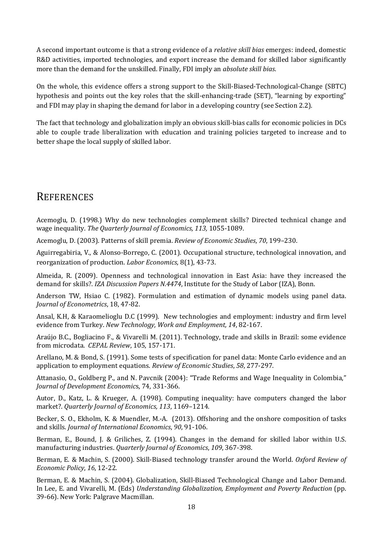A second important outcome is that a strong evidence of a *relative skill bias* emerges: indeed, domestic R&D activities, imported technologies, and export increase the demand for skilled labor significantly more than the demand for the unskilled. Finally, FDI imply an *absolute skill bias*.

On the whole, this evidence offers a strong support to the Skill-Biased-Technological-Change (SBTC) hypothesis and points out the key roles that the skill-enhancing-trade (SET), "learning by exporting" and FDI may play in shaping the demand for labor in a developing country (see Section 2.2).

The fact that technology and globalization imply an obvious skill-bias calls for economic policies in DCs able to couple trade liberalization with education and training policies targeted to increase and to better shape the local supply of skilled labor.

# **REFERENCES**

Acemoglu, D. (1998.) Why do new technologies complement skills? Directed technical change and wage inequality. *The Quarterly Journal of Economics, 113,* 1055‐1089. 

Acemoglu, D. (2003). Patterns of skill premia. *Review of Economic Studies*, *70*, 199–230. 

Aguirregabiria, V., & Alonso-Borrego, C. (2001). Occupational structure, technological innovation, and reorganization of production. *Labor Economics*, 8(1), 43-73.

Almeida, R. (2009). Openness and technological innovation in East Asia: have they increased the demand for skills?. *IZA Discussion Papers N.4474*, Institute for the Study of Labor (IZA), Bonn.

Anderson TW, Hsiao C. (1982). Formulation and estimation of dynamic models using panel data. *Journal of Econometrics*, 18, 47‐82. 

Ansal, K.H, & Karaomelioglu D.C (1999). New technologies and employment: industry and firm level evidence from Turkey. *New Technology, Work and Employment, 14*, 82‐167. 

Araújo B.C., Bogliacino F., & Vivarelli M. (2011). Technology, trade and skills in Brazil: some evidence from microdata. CEPAL Review, 105, 157-171.

Arellano, M. & Bond, S. (1991). Some tests of specification for panel data: Monte Carlo evidence and an application to employment equations. Review of *Economic Studies*, 58, 277-297.

Attanasio, O., Goldberg P., and N. Pavcnik (2004): "Trade Reforms and Wage Inequality in Colombia," *Journal of Development Economic*s, 74, 331‐366. 

Autor, D., Katz, L. & Krueger, A. (1998). Computing inequality: have computers changed the labor market?. *Quarterly Journal of Economics, 113*, 1169–1214. 

Becker, S. O., Ekholm, K. & Muendler, M.-A. (2013). Offshoring and the onshore composition of tasks and skills. *Journal of International Economics*, *90*, 91‐106. 

Berman, E., Bound, J. & Griliches, Z. (1994). Changes in the demand for skilled labor within U.S. manufacturing industries. *Quarterly Journal of Economics*, 109, 367-398.

Berman, E. & Machin, S. (2000). Skill-Biased technology transfer around the World. *Oxford Review of Economic Policy*, *16*, 12‐22. 

Berman, E. & Machin, S. (2004). Globalization, Skill-Biased Technological Change and Labor Demand. In Lee, E. and Vivarelli, M. (Eds) *Understanding Globalization, Employment and Poverty Reduction* (pp. 39-66). New York: Palgrave Macmillan.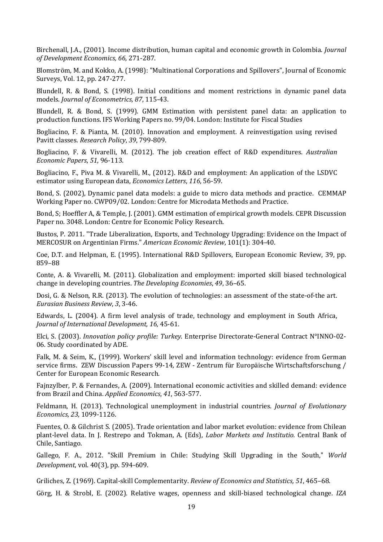Birchenall, J.A., (2001). Income distribution, human capital and economic growth in Colombia. *Journal of Development Economics, 66,* 271‐287. 

Blomström, M. and Kokko, A. (1998): "Multinational Corporations and Spillovers", Journal of Economic Surveys, Vol. 12, pp. 247-277.

Blundell, R. & Bond, S. (1998). Initial conditions and moment restrictions in dynamic panel data models. *Journal of Econometrics, 87*, 115‐43. 

Blundell, R. & Bond, S. (1999). GMM Estimation with persistent panel data: an application to production functions. IFS Working Papers no. 99/04. London: Institute for Fiscal Studies

Bogliacino, F. & Pianta, M. (2010). Innovation and employment. A reinvestigation using revised Pavitt classes. *Research Policy*, *39*, 799‐809. 

Bogliacino, F. & Vivarelli, M. (2012). The job creation effect of R&D expenditures. *Australian Economic Papers*, *51*, 96‐113. 

Bogliacino, F., Piva M. & Vivarelli, M., (2012). R&D and employment: An application of the LSDVC estimator using European data, *Economics Letters*, 116, 56-59.

Bond, S. (2002), Dynamic panel data models: a guide to micro data methods and practice. CEMMAP Working Paper no. CWP09/02. London: Centre for Microdata Methods and Practice.

Bond, S; Hoeffler A, & Temple, J. (2001). GMM estimation of empirical growth models. CEPR Discussion Paper no. 3048. London: Centre for Economic Policy Research.

Bustos, P. 2011. "Trade Liberalization, Exports, and Technology Upgrading: Evidence on the Impact of MERCOSUR on Argentinian Firms." *American Economic Review*, 101(1): 304‐40. 

Coe, D.T. and Helpman, E. (1995). International R&D Spillovers, European Economic Review, 39, pp. 859–88 

Conte, A. & Vivarelli, M. (2011). Globalization and employment: imported skill biased technological change in developing countries. The *Developing Economies*, 49, 36–65.

Dosi, G. & Nelson, R.R. (2013). The evolution of technologies: an assessment of the state-of-the art. *Eurasian Business Review*, *3*, 3‐46. 

Edwards, L. (2004). A firm level analysis of trade, technology and employment in South Africa, *Journal of International Development, 16,* 45‐61. 

Elci, S. (2003). *Innovation policy profile: Turkey*. Enterprise Directorate‐General Contract N°INNO‐02‐ 06. Study coordinated by ADE.

Falk, M. & Seim, K., (1999). Workers' skill level and information technology: evidence from German service firms. ZEW Discussion Papers 99-14, ZEW - Zentrum für Europäische Wirtschaftsforschung / Center for European Economic Research.

Fajnzylber, P. & Fernandes, A. (2009). International economic activities and skilled demand: evidence from Brazil and China. *Applied Economics*, *41*, 563‐577. 

Feldmann, H. (2013). Technological unemployment in industrial countries. *Journal of Evolutionary Economics, 23,* 1099‐1126. 

Fuentes, O. & Gilchrist S. (2005). Trade orientation and labor market evolution: evidence from Chilean plant-level data. In J. Restrepo and Tokman, A. (Eds), *Labor Markets and Institutio.* Central Bank of Chile, Santiago.

Gallego, F. A., 2012. "Skill Premium in Chile: Studying Skill Upgrading in the South," *World Development*, vol. 40(3), pp. 594-609.

Griliches, Z. (1969). Capital‐skill Complementarity. *Review of Economics and Statistics, 51*, 465–68. 

Görg, H. & Strobl, E. (2002). Relative wages, openness and skill-biased technological change. *IZA*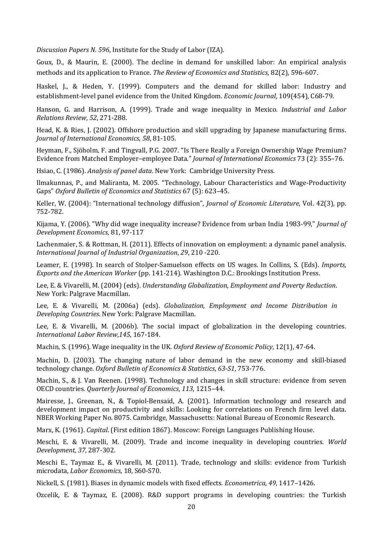*Discussion Papers N. 596*, Institute for the Study of Labor (IZA). 

Goux, D., & Maurin, E. (2000). The decline in demand for unskilled labor: An empirical analysis methods and its application to France. *The Review of Economics and Statistics*, 82(2), 596‐607.

Haskel, J., & Heden, Y. (1999). Computers and the demand for skilled labor: Industry and establishment-level panel evidence from the United Kingdom. *Economic Journal*, 109(454), C68-79.

Hanson, G. and Harrison, A. (1999). Trade and wage inequality in Mexico. *Industrial and Labor Relations Review*, *52*, 271‐288. 

Head, K. & Ries, J. (2002). Offshore production and skill upgrading by Japanese manufacturing firms. *Journal of International Economics*, *58*, 81‐105. 

Heyman, F., Sjöholm, F. and Tingvall, P.G. 2007. "Is There Really a Foreign Ownership Wage Premium? Evidence from Matched Employer–employee Data." *Journal of International Economics* 73 (2): 355–76.

Hsiao, C. (1986). *Analysis of panel data*. New York: Cambridge University Press.

Ilmakunnas, P., and Maliranta, M. 2005. "Technology, Labour Characteristics and Wage-Productivity Gaps" *Oxford Bulletin of Economics and Statistics* 67 (5): 623–45. 

Keller, W. (2004): "International technology diffusion", *Journal of Economic Literature*, Vol. 42(3), pp. 752‐782. 

Kijama, Y. (2006). "Why did wage inequality increase? Evidence from urban India 1983-99," *Journal of Development Economics*, 81, 97‐117 

Lachenmaier, S. & Rottman, H. (2011). Effects of innovation on employment: a dynamic panel analysis. *International Journal of Industrial Organization*, *29*, 210 ‐220. 

Leamer, E. (1998). In search of Stolper-Samuelson effects on US wages. In Collins, S. (Eds). *Imports*, *Exports and the American Worker* (pp. 141‐214). Washington D.C.: Brookings Institution Press. 

Lee, E. & Vivarelli, M. (2004) (eds). *Understanding Globalization, Employment and Poverty Reduction*. New York: Palgrave Macmillan.

Lee, E. & Vivarelli, M. (2006a) (eds). *Globalization, Employment and Income Distribution in Developing Countries*. New York: Palgrave Macmillan. 

Lee, E. & Vivarelli, M. (2006b). The social impact of globalization in the developing countries. *International Labor Review*,*145*, 167‐184. 

Machin, S. (1996). Wage inequality in the UK. Oxford Review of *Economic Policy*, 12(1), 47-64.

Machin, D. (2003). The changing nature of labor demand in the new economy and skill-biased technology change. *Oxford Bulletin of Economics & Statistics*, *63‐S1*, 753‐776. 

Machin, S., & J. Van Reenen. (1998). Technology and changes in skill structure: evidence from seven OECD countries. *Quarterly Journal of Economics*, *113*, 1215–44. 

Mairesse, J., Greenan, N., & Topiol-Bensaid, A. (2001). Information technology and research and development impact on productivity and skills: Looking for correlations on French firm level data. NBER Working Paper No. 8075. Cambridge, Massachusetts: National Bureau of Economic Research.

Marx, K. (1961). *Capital.* (First edition 1867). Moscow: Foreign Languages Publishing House.

Meschi, E. & Vivarelli, M. (2009). Trade and income inequality in developing countries. World *Development, 37,* 287‐302. 

Meschi E., Taymaz E., & Vivarelli, M. (2011). Trade, technology and skills: evidence from Turkish microdata, *Labor Economics*, 18, S60‐S70. 

Nickell, S. (1981). Biases in dynamic models with fixed effects. *Econometrica*, 49, 1417–1426.

Ozcelik, E. & Taymaz, E. (2008). R&D support programs in developing countries: the Turkish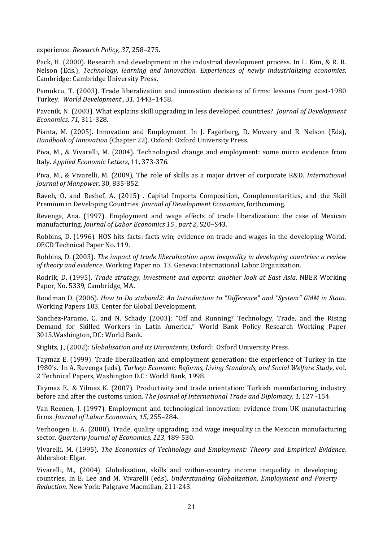experience. *Research Policy, 37*, 258–275. 

Pack, H. (2000). Research and development in the industrial development process. In L. Kim, & R. R. Nelson (Eds.), *Technology, learning and innovation. Experiences of newly industrializing economies*. Cambridge: Cambridge University Press.

Pamukcu, T. (2003). Trade liberalization and innovation decisions of firms: lessons from post-1980 Turkey. *World Development , 31,* 1443–1458. 

Pavcnik, N. (2003). What explains skill upgrading in less developed countries?. *Journal of Development Economics, 71*, 311‐328. 

Pianta, M. (2005). Innovation and Employment. In J. Fagerberg, D. Mowery and R. Nelson (Eds), *Handbook of Innovation* (Chapter 22). Oxford: Oxford University Press.

Piva, M., & Vivarelli, M. (2004). Technological change and employment: some micro evidence from Italy. *Applied Economic Letters*, 11, 373‐376. 

Piva, M., & Vivarelli, M. (2009), The role of skills as a major driver of corporate R&D. *International Journal of Manpower*, 30, 835‐852. 

Raveh, O. and Reshef, A. (2015) . Capital Imports Composition, Complementarities, and the Skill Premium in Developing Countries. *Journal of Development Economics*, forthcoming. 

Revenga, Ana. (1997). Employment and wage effects of trade liberalization: the case of Mexican manufacturing. *Journal of Labor Economics 15 , part 2*, S20–S43. 

Robbins, D. (1996). HOS hits facts: facts win; evidence on trade and wages in the developing World. OECD Technical Paper No. 119.

Robbins, D. (2003). *The impact of trade liberalization upon inequality in developing countries: a review of theory and evidence*. Working Paper no. 13. Geneva: International Labor Organization. 

Rodrik, D. (1995). *Trade strategy, investment and exports: another look at East Asia*. NBER Working Paper, No. 5339, Cambridge, MA.

Roodman D. (2006). *How to Do xtabond2: An Introduction to "Difference" and "System" GMM in Stata*. Working Papers 103, Center for Global Development.

Sanchez-Paramo, C. and N. Schady (2003): "Off and Running? Technology, Trade, and the Rising Demand for Skilled Workers in Latin America," World Bank Policy Research Working Paper 3015. Washington, DC: World Bank.

Stiglitz, J., (2002): *Globalisation and its Discontents*, Oxford: Oxford University Press.

Taymaz E. (1999). Trade liberalization and employment generation: the experience of Turkey in the 1980's. In A. Revenga (eds), *Turkey: Economic Reforms, Living Standards, and Social Welfare Study*, vol. 2 Technical Papers, Washington D.C : World Bank, 1998.

Taymaz E., & Yilmaz K. (2007). Productivity and trade orientation: Turkish manufacturing industry before and after the customs union. The *Journal of International Trade and Diplomacy, 1,* 127 -154.

Van Reenen, J. (1997). Employment and technological innovation: evidence from UK manufacturing firms. *Journal of Labor Economics, 15*, 255–284. 

Verhoogen, E. A. (2008). Trade, quality upgrading, and wage inequality in the Mexican manufacturing sector. *Quarterly Journal of Economics, 123*, 489‐530. 

Vivarelli, M. (1995). *The Economics of Technology and Employment: Theory and Empirical Evidence.* Aldershot: Elgar.

Vivarelli, M., (2004). Globalization, skills and within-country income inequality in developing countries. In E. Lee and M. Vivarelli (eds), *Understanding Globalization, Employment and Poverty Reduction*. New York: Palgrave Macmillan, 211-243.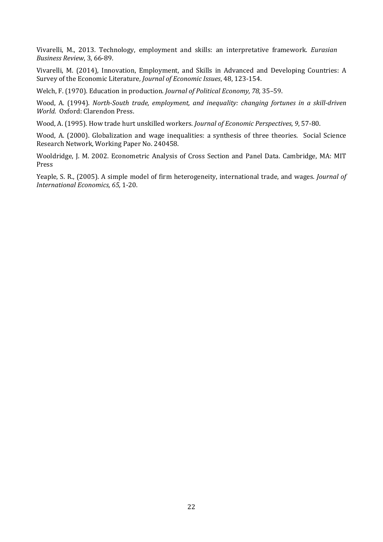Vivarelli, M., 2013. Technology, employment and skills: an interpretative framework. *Eurasian Business Review*, 3, 66‐89. 

Vivarelli, M. (2014), Innovation, Employment, and Skills in Advanced and Developing Countries: A Survey of the Economic Literature*, Journal of Economic Issues*, 48, 123‐154. 

Welch, F. (1970). Education in production. *Journal of Political Economy, 78,* 35-59.

Wood, A. (1994). *North‐South trade, employment, and inequality: changing fortunes in a skill‐driven World.* Oxford: Clarendon Press.

Wood, A. (1995). How trade hurt unskilled workers. *Journal of Economic Perspectives*, 9, 57-80.

Wood, A. (2000). Globalization and wage inequalities: a synthesis of three theories. Social Science Research Network, Working Paper No. 240458.

Wooldridge, J. M. 2002. Econometric Analysis of Cross Section and Panel Data. Cambridge, MA: MIT Press 

Yeaple, S. R., (2005). A simple model of firm heterogeneity, international trade, and wages. *Journal of International Economics, 65,* 1‐20.